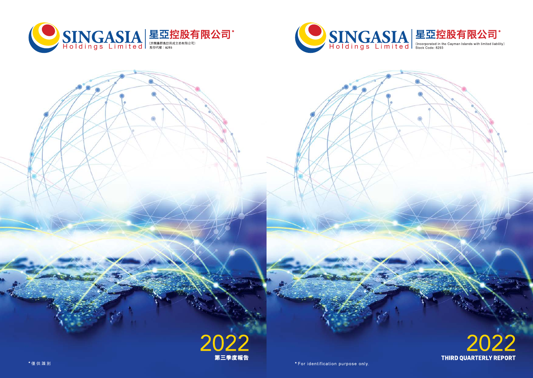



\*For identification purpose only.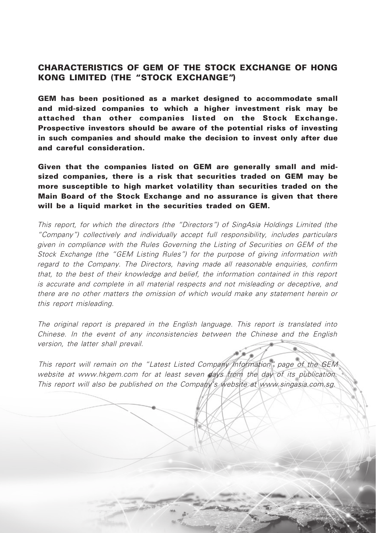## CHARACTERISTICS OF GEM OF THE STOCK EXCHANGE OF HONG KONG LIMITED (THE "STOCK EXCHANGE")

GEM has been positioned as a market designed to accommodate small and mid-sized companies to which a higher investment risk may be attached than other companies listed on the Stock Exchange. Prospective investors should be aware of the potential risks of investing in such companies and should make the decision to invest only after due and careful consideration.

Given that the companies listed on GEM are generally small and midsized companies, there is a risk that securities traded on GEM may be more susceptible to high market volatility than securities traded on the Main Board of the Stock Exchange and no assurance is given that there will be a liquid market in the securities traded on GEM.

This report, for which the directors (the "Directors") of SingAsia Holdings Limited (the "Company") collectively and individually accept full responsibility, includes particulars given in compliance with the Rules Governing the Listing of Securities on GEM of the Stock Exchange (the "GEM Listing Rules") for the purpose of giving information with regard to the Company. The Directors, having made all reasonable enquiries, confirm that, to the best of their knowledge and belief, the information contained in this report is accurate and complete in all material respects and not misleading or deceptive, and there are no other matters the omission of which would make any statement herein or this report misleading.

The original report is prepared in the English language. This report is translated into Chinese. In the event of any inconsistencies between the Chinese and the English version, the latter shall prevail.

This report will remain on the "Latest Listed Company Information" page of the GEM website at www.hkgem.com for at least seven days from the day of its publication. This report will also be published on the Company's website at [www.singasia.com.sg](http://www.singasia.com.sg).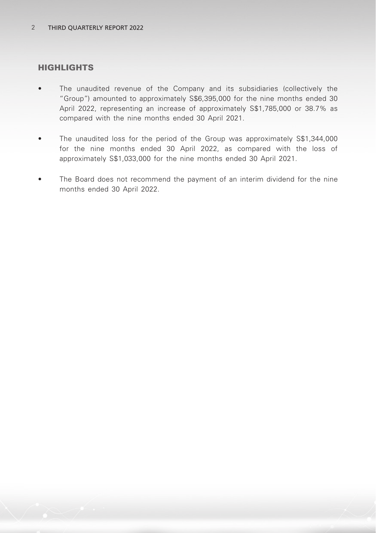## HIGHLIGHTS

- The unaudited revenue of the Company and its subsidiaries (collectively the "Group") amounted to approximately S\$6,395,000 for the nine months ended 30 April 2022, representing an increase of approximately S\$1,785,000 or 38.7% as compared with the nine months ended 30 April 2021.
- The unaudited loss for the period of the Group was approximately S\$1,344,000 for the nine months ended 30 April 2022, as compared with the loss of approximately S\$1,033,000 for the nine months ended 30 April 2021.
- The Board does not recommend the payment of an interim dividend for the nine months ended 30 April 2022.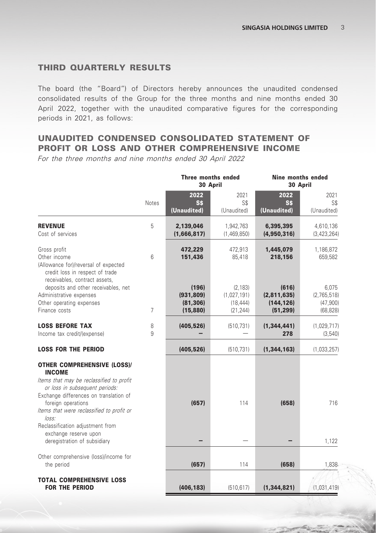## THIRD QUARTERLY RESULTS

The board (the "Board") of Directors hereby announces the unaudited condensed consolidated results of the Group for the three months and nine months ended 30 April 2022, together with the unaudited comparative figures for the corresponding periods in 2021, as follows:

## UNAUDITED CONDENSED CONSOLIDATED STATEMENT OF PROFIT OR LOSS AND OTHER COMPREHENSIVE INCOME

For the three months and nine months ended 30 April 2022

|                                                                                                                                                                                                   |                |                                               | Three months ended<br>30 April                    | Nine months ended                               | 30 April                                      |
|---------------------------------------------------------------------------------------------------------------------------------------------------------------------------------------------------|----------------|-----------------------------------------------|---------------------------------------------------|-------------------------------------------------|-----------------------------------------------|
|                                                                                                                                                                                                   | Notes          | 2022<br><b>S\$</b><br>(Unaudited)             | 2021<br>S\$<br>(Unaudited)                        | 2022<br><b>S\$</b><br>(Unaudited)               | 2021<br>S\$<br>(Unaudited)                    |
| <b>REVENUE</b><br>Cost of services                                                                                                                                                                | 5              | 2,139,046<br>(1,666,817)                      | 1,942,763<br>(1,469,850)                          | 6,395,395<br>(4,950,316)                        | 4,610,136<br>(3,423,264)                      |
| Gross profit<br>Other income<br>(Allowance for)/reversal of expected<br>credit loss in respect of trade<br>receivables, contract assets,                                                          | 6              | 472,229<br>151,436                            | 472,913<br>85,418                                 | 1,445,079<br>218,156                            | 1,186,872<br>659,582                          |
| deposits and other receivables, net<br>Administrative expenses<br>Other operating expenses<br>Finance costs                                                                                       | $\overline{7}$ | (196)<br>(931, 809)<br>(81, 306)<br>(15, 880) | (2, 183)<br>(1,027,191)<br>(18, 444)<br>(21, 244) | (616)<br>(2,811,635)<br>(144, 126)<br>(51, 299) | 6,075<br>(2,765,518)<br>(47,900)<br>(68, 828) |
| <b>LOSS BEFORE TAX</b><br>Income tax credit/(expense)                                                                                                                                             | 8<br>9         | (405, 526)                                    | (510, 731)                                        | (1, 344, 441)<br>278                            | (1,029,717)<br>(3, 540)                       |
| <b>LOSS FOR THE PERIOD</b>                                                                                                                                                                        |                | (405, 526)                                    | (510, 731)                                        | (1, 344, 163)                                   | (1,033,257)                                   |
| <b>OTHER COMPREHENSIVE (LOSS)/</b><br><b>INCOME</b><br>Items that may be reclassified to profit<br>or loss in subsequent periods:<br>Exchange differences on translation of<br>foreign operations |                | (657)                                         | 114                                               | (658)                                           | 716                                           |
| Items that were reclassified to profit or<br>loss:<br>Reclassification adjustment from<br>exchange reserve upon<br>deregistration of subsidiary                                                   |                |                                               |                                                   |                                                 | 1,122                                         |
| Other comprehensive (loss)/income for<br>the period                                                                                                                                               |                | (657)                                         | 114                                               | (658)                                           | 1,838                                         |
| <b>TOTAL COMPREHENSIVE LOSS</b><br><b>FOR THE PERIOD</b>                                                                                                                                          |                | (406, 183)                                    | (510, 617)                                        | (1, 344, 821)                                   | (1,031,419)                                   |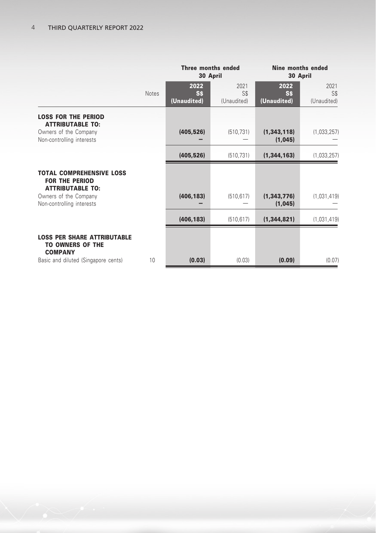|                                                                                     |              |                                  | Three months ended<br>30 April        | Nine months ended<br>30 April    |                            |  |
|-------------------------------------------------------------------------------------|--------------|----------------------------------|---------------------------------------|----------------------------------|----------------------------|--|
|                                                                                     | <b>Notes</b> | 2022<br><b>SS</b><br>(Unaudited) | 2021<br>S <sub>s</sub><br>(Unaudited) | 2022<br><b>SS</b><br>(Unaudited) | 2021<br>S\$<br>(Unaudited) |  |
| <b>LOSS FOR THE PERIOD</b><br><b>ATTRIBUTABLE TO:</b>                               |              |                                  |                                       |                                  |                            |  |
| Owners of the Company<br>Non-controlling interests                                  |              | (405, 526)                       | (510, 731)                            | (1, 343, 118)<br>(1,045)         | (1,033,257)                |  |
|                                                                                     |              | (405, 526)                       | (510, 731)                            | (1, 344, 163)                    | (1,033,257)                |  |
| <b>TOTAL COMPREHENSIVE LOSS</b><br><b>FOR THE PERIOD</b><br><b>ATTRIBUTABLE TO:</b> |              |                                  |                                       |                                  |                            |  |
| Owners of the Company<br>Non-controlling interests                                  |              | (406, 183)                       | (510, 617)                            | (1, 343, 776)<br>(1,045)         | (1,031,419)                |  |
|                                                                                     |              | (406, 183)                       | (510, 617)                            | (1, 344, 821)                    | (1,031,419)                |  |
| <b>LOSS PER SHARE ATTRIBUTABLE</b><br><b>TO OWNERS OF THE</b><br><b>COMPANY</b>     |              |                                  |                                       |                                  |                            |  |
| Basic and diluted (Singapore cents)                                                 | 10           | (0.03)                           | (0.03)                                | (0.09)                           | (0.07)                     |  |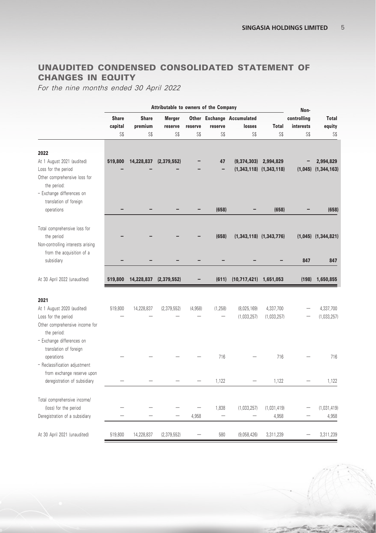# UNAUDITED CONDENSED CONSOLIDATED STATEMENT OF CHANGES IN EQUITY

For the nine months ended 30 April 2022

|                                                                                                    |                         | Attributable to owners of the Company |                          |         | Non-        |                                      |                             |                          |                         |
|----------------------------------------------------------------------------------------------------|-------------------------|---------------------------------------|--------------------------|---------|-------------|--------------------------------------|-----------------------------|--------------------------|-------------------------|
|                                                                                                    | <b>Share</b><br>capital | <b>Share</b><br>premium               | <b>Merger</b><br>reserve | reserve | reserve     | Other Exchange Accumulated<br>losses | <b>Total</b>                | controlling<br>interests | <b>Total</b><br>equity  |
|                                                                                                    | SS                      | S\$                                   | S\$                      | S\$     | S\$         | SS                                   | SS                          | SS                       | S\$                     |
| 2022<br>At 1 August 2021 (audited)                                                                 | 519,800                 | 14,228,837                            | (2, 379, 552)            |         | 47          | (9,374,303)                          | 2,994,829                   |                          | 2,994,829               |
| Loss for the period<br>Other comprehensive loss for<br>the period:<br>- Exchange differences on    |                         |                                       |                          |         |             |                                      | $(1,343,118)$ $(1,343,118)$ |                          | $(1,045)$ $(1,344,163)$ |
| translation of foreign<br>operations                                                               |                         |                                       |                          |         | (658)       |                                      | (658)                       |                          | (658)                   |
| Total comprehensive loss for<br>the period<br>Non-controlling interests arising                    |                         |                                       |                          |         | (658)       |                                      | $(1,343,118)$ $(1,343,776)$ |                          | $(1,045)$ $(1,344,821)$ |
| from the acquisition of a<br>subsidiary                                                            |                         |                                       |                          |         |             |                                      |                             | 847                      | 847                     |
| At 30 April 2022 (unaudited)                                                                       | 519,800                 | 14,228,837                            | (2, 379, 552)            |         | (611)       | $(10,717,421)$ 1,651,053             |                             | (198)                    | 1,650,855               |
| 2021                                                                                               |                         |                                       |                          |         |             |                                      |                             |                          |                         |
| At 1 August 2020 (audited)                                                                         | 519.800                 | 14,228,837                            | (2, 379, 552)            | (4,958) | (1, 258)    | (8,025,169)                          | 4,337,700                   |                          | 4,337,700               |
| Loss for the period<br>Other comprehensive income for<br>the period:                               |                         |                                       |                          |         |             | (1,033,257)                          | (1,033,257)                 |                          | (1,033,257)             |
| - Exchange differences on<br>translation of foreign<br>operations<br>- Reclassification adjustment |                         |                                       |                          |         | 716         |                                      | 716                         |                          | 716                     |
| from exchange reserve upon<br>deregistration of subsidiary                                         |                         |                                       |                          |         | 1,122       |                                      | 1,122                       |                          | 1,122                   |
| Total comprehensive income/<br>(loss) for the period<br>Deregistration of a subsidiary             |                         |                                       |                          | 4.958   | 1,838<br>L, | (1,033,257)                          | (1,031,419)<br>4.958        |                          | (1,031,419)<br>4,958    |
|                                                                                                    |                         |                                       |                          |         |             |                                      |                             |                          |                         |
| At 30 April 2021 (unaudited)                                                                       | 519,800                 | 14,228,837                            | (2, 379, 552)            |         | 580         | (9,058,426)                          | 3,311,239                   |                          | 3,311,239               |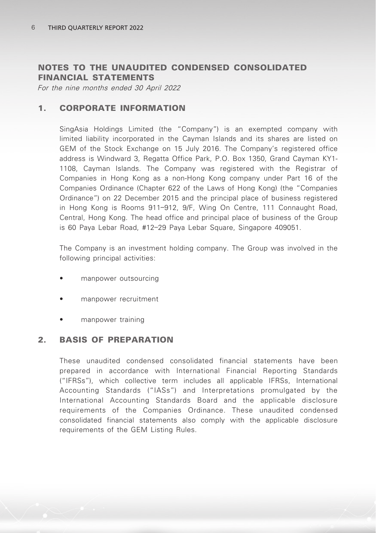## NOTES TO THE UNAUDITED CONDENSED CONSOLIDATED FINANCIAL STATEMENTS

For the nine months ended 30 April 2022

## 1. CORPORATE INFORMATION

SingAsia Holdings Limited (the "Company") is an exempted company with limited liability incorporated in the Cayman Islands and its shares are listed on GEM of the Stock Exchange on 15 July 2016. The Company's registered office address is Windward 3, Regatta Office Park, P.O. Box 1350, Grand Cayman KY1- 1108, Cayman Islands. The Company was registered with the Registrar of Companies in Hong Kong as a non-Hong Kong company under Part 16 of the Companies Ordinance (Chapter 622 of the Laws of Hong Kong) (the "Companies Ordinance") on 22 December 2015 and the principal place of business registered in Hong Kong is Rooms 911–912, 9/F, Wing On Centre, 111 Connaught Road, Central, Hong Kong. The head office and principal place of business of the Group is 60 Paya Lebar Road, #12–29 Paya Lebar Square, Singapore 409051.

The Company is an investment holding company. The Group was involved in the following principal activities:

- manpower outsourcing
- manpower recruitment
- manpower training

## 2. BASIS OF PREPARATION

These unaudited condensed consolidated financial statements have been prepared in accordance with International Financial Reporting Standards ("IFRSs"), which collective term includes all applicable IFRSs, International Accounting Standards ("IASs") and Interpretations promulgated by the International Accounting Standards Board and the applicable disclosure requirements of the Companies Ordinance. These unaudited condensed consolidated financial statements also comply with the applicable disclosure requirements of the GEM Listing Rules.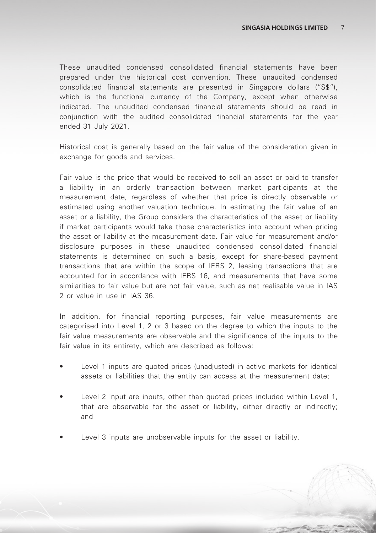These unaudited condensed consolidated financial statements have been prepared under the historical cost convention. These unaudited condensed consolidated financial statements are presented in Singapore dollars ("S\$"), which is the functional currency of the Company, except when otherwise indicated. The unaudited condensed financial statements should be read in conjunction with the audited consolidated financial statements for the year ended 31 July 2021.

Historical cost is generally based on the fair value of the consideration given in exchange for goods and services.

Fair value is the price that would be received to sell an asset or paid to transfer a liability in an orderly transaction between market participants at the measurement date, regardless of whether that price is directly observable or estimated using another valuation technique. In estimating the fair value of an asset or a liability, the Group considers the characteristics of the asset or liability if market participants would take those characteristics into account when pricing the asset or liability at the measurement date. Fair value for measurement and/or disclosure purposes in these unaudited condensed consolidated financial statements is determined on such a basis, except for share-based payment transactions that are within the scope of IFRS 2, leasing transactions that are accounted for in accordance with IFRS 16, and measurements that have some similarities to fair value but are not fair value, such as net realisable value in IAS 2 or value in use in IAS 36.

In addition, for financial reporting purposes, fair value measurements are categorised into Level 1, 2 or 3 based on the degree to which the inputs to the fair value measurements are observable and the significance of the inputs to the fair value in its entirety, which are described as follows:

- Level 1 inputs are quoted prices (unadjusted) in active markets for identical assets or liabilities that the entity can access at the measurement date;
- Level 2 input are inputs, other than quoted prices included within Level 1, that are observable for the asset or liability, either directly or indirectly; and
- Level 3 inputs are unobservable inputs for the asset or liability.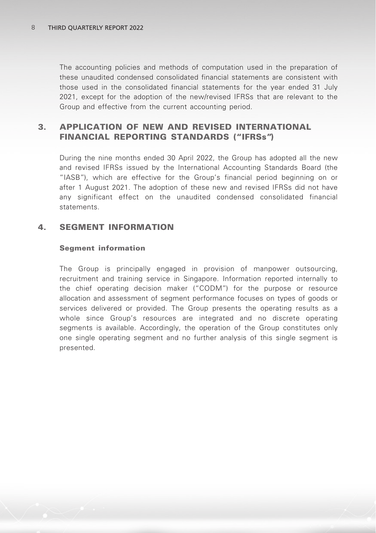The accounting policies and methods of computation used in the preparation of these unaudited condensed consolidated financial statements are consistent with those used in the consolidated financial statements for the year ended 31 July 2021, except for the adoption of the new/revised IFRSs that are relevant to the Group and effective from the current accounting period.

## 3. APPLICATION OF NEW AND REVISED INTERNATIONAL FINANCIAL REPORTING STANDARDS ("IFRSs")

During the nine months ended 30 April 2022, the Group has adopted all the new and revised IFRSs issued by the International Accounting Standards Board (the "IASB"), which are effective for the Group's financial period beginning on or after 1 August 2021. The adoption of these new and revised IFRSs did not have any significant effect on the unaudited condensed consolidated financial statements.

## 4. SEGMENT INFORMATION

#### Segment information

The Group is principally engaged in provision of manpower outsourcing, recruitment and training service in Singapore. Information reported internally to the chief operating decision maker ("CODM") for the purpose or resource allocation and assessment of segment performance focuses on types of goods or services delivered or provided. The Group presents the operating results as a whole since Group's resources are integrated and no discrete operating segments is available. Accordingly, the operation of the Group constitutes only one single operating segment and no further analysis of this single segment is presented.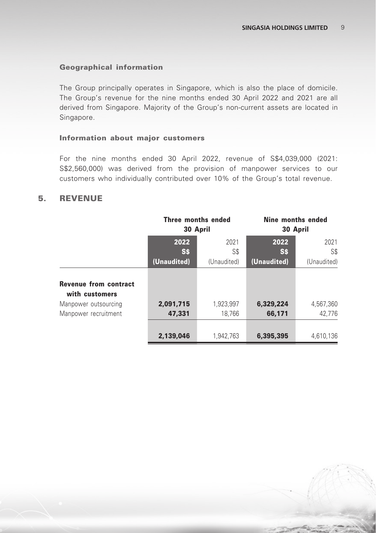#### Geographical information

The Group principally operates in Singapore, which is also the place of domicile. The Group's revenue for the nine months ended 30 April 2022 and 2021 are all derived from Singapore. Majority of the Group's non-current assets are located in Singapore.

#### Information about major customers

For the nine months ended 30 April 2022, revenue of S\$4,039,000 (2021: S\$2,560,000) was derived from the provision of manpower services to our customers who individually contributed over 10% of the Group's total revenue.

### 5. REVENUE

|                                                | Three months ended<br>30 April |             | Nine months ended<br>30 April |             |
|------------------------------------------------|--------------------------------|-------------|-------------------------------|-------------|
|                                                | 2022                           | 2021        | 2022                          | 2021        |
|                                                | S\$                            | S\$         | S\$                           | S\$         |
|                                                | (Unaudited)                    | (Unaudited) | (Unaudited)                   | (Unaudited) |
| <b>Revenue from contract</b><br>with customers |                                |             |                               |             |
| Manpower outsourcing                           | 2,091,715                      | 1,923,997   | 6,329,224                     | 4,567,360   |
| Manpower recruitment                           | 47,331                         | 18,766      | 66,171                        | 42,776      |
|                                                | 2,139,046                      | 1,942,763   | 6,395,395                     | 4,610,136   |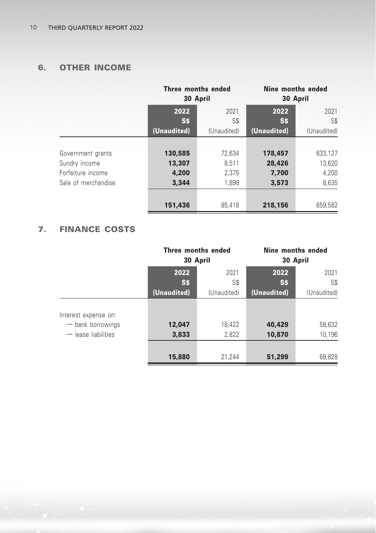# 6. OTHER INCOME

|                     | Three months ended<br>30 April |             | Nine months ended<br>30 April |             |
|---------------------|--------------------------------|-------------|-------------------------------|-------------|
|                     | 2022<br>2021                   |             | 2022                          | 2021        |
|                     | S\$                            | S\$         | S\$                           | S\$         |
|                     | (Unaudited)                    | (Unaudited) | (Unaudited)                   | (Unaudited) |
|                     |                                |             |                               |             |
| Government grants   | 130,585                        | 72,634      | 178,457                       | 633,127     |
| Sundry income       | 13,307                         | 8.511       | 28,426                        | 13,620      |
| Forfeiture income   | 4.200                          | 2.375       | 7,700                         | 4.200       |
| Sale of merchandise | 3,344                          | 1,898       | 3,573                         | 8,635       |
|                     |                                |             |                               |             |
|                     | 151,436                        | 85.418      | 218,156                       | 659,582     |

# 7. FINANCE COSTS

|                       | Three months ended<br>30 April |             | Nine months ended<br>30 April |             |
|-----------------------|--------------------------------|-------------|-------------------------------|-------------|
|                       | 2022                           | 2021        | 2022                          | 2021        |
|                       | S\$                            | S\$         | <b>S\$</b>                    | S\$         |
|                       | (Unaudited)                    | (Unaudited) | (Unaudited)                   | (Unaudited) |
| Interest expense on:  |                                |             |                               |             |
| - bank borrowings     | 12,047                         | 18,422      | 40,429                        | 58,632      |
| $-$ lease liabilities | 3,833                          | 2,822       | 10,870                        | 10,196      |
|                       |                                |             |                               |             |
|                       | 15,880                         | 21,244      | 51,299                        | 68,828      |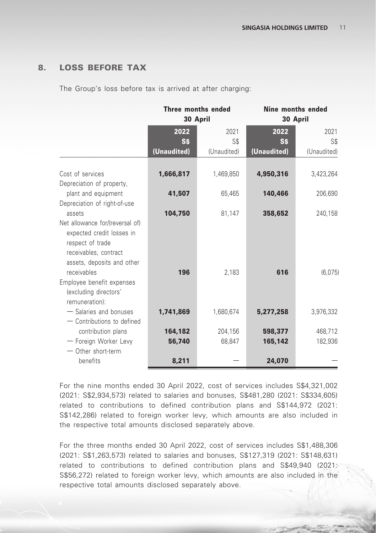## 8. LOSS BEFORE TAX

The Group's loss before tax is arrived at after charging:

|                                                                                                                                                        | Three months ended | 30 April          | Nine months ended<br>30 April |                    |  |
|--------------------------------------------------------------------------------------------------------------------------------------------------------|--------------------|-------------------|-------------------------------|--------------------|--|
|                                                                                                                                                        | 2022<br>Ss         | 2021<br>S\$       | 2022<br><b>SS</b>             | 2021<br>S\$        |  |
|                                                                                                                                                        | (Unaudited)        | (Unaudited)       | (Unaudited)                   | (Unaudited)        |  |
| Cost of services<br>Depreciation of property,                                                                                                          | 1,666,817          | 1,469,850         | 4,950,316                     | 3,423,264          |  |
| plant and equipment                                                                                                                                    | 41,507             | 65,465            | 140,466                       | 206,690            |  |
| Depreciation of right-of-use<br>assets                                                                                                                 | 104,750            | 81,147            | 358,652                       | 240,158            |  |
| Net allowance for/(reversal of)<br>expected credit losses in<br>respect of trade<br>receivables, contract<br>assets, deposits and other<br>receivables | 196                | 2,183             | 616                           | (6,075)            |  |
| Employee benefit expenses<br>(excluding directors'<br>remuneration):                                                                                   |                    |                   |                               |                    |  |
| - Salaries and bonuses                                                                                                                                 | 1,741,869          | 1,680,674         | 5,277,258                     | 3,976,332          |  |
| - Contributions to defined<br>contribution plans<br>- Foreign Worker Levy<br>- Other short-term                                                        | 164,182<br>56,740  | 204,156<br>68,847 | 598,377<br>165,142            | 468,712<br>182,936 |  |
| benefits                                                                                                                                               | 8,211              |                   | 24,070                        |                    |  |

For the nine months ended 30 April 2022, cost of services includes S\$4,321,002 (2021: S\$2,934,573) related to salaries and bonuses, S\$481,280 (2021: S\$334,605) related to contributions to defined contribution plans and S\$144,972 (2021: S\$142,286) related to foreign worker levy, which amounts are also included in the respective total amounts disclosed separately above.

For the three months ended 30 April 2022, cost of services includes S\$1,488,306 (2021: S\$1,263,573) related to salaries and bonuses, S\$127,319 (2021: S\$148,631) related to contributions to defined contribution plans and S\$49,940 (2021: S\$56,272) related to foreign worker levy, which amounts are also included in the respective total amounts disclosed separately above.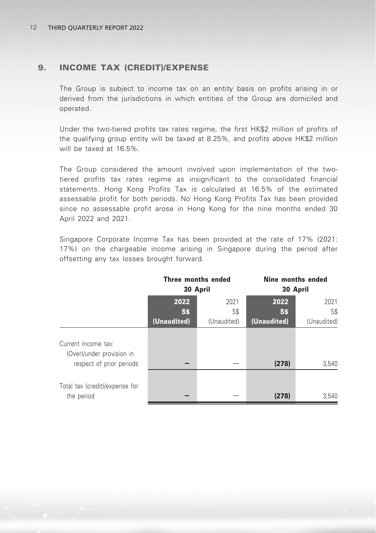## 9. INCOME TAX (CREDIT)/EXPENSE

The Group is subject to income tax on an entity basis on profits arising in or derived from the jurisdictions in which entities of the Group are domiciled and operated.

Under the two-tiered profits tax rates regime, the first HK\$2 million of profits of the qualifying group entity will be taxed at 8.25%, and profits above HK\$2 million will be taxed at 16.5%.

The Group considered the amount involved upon implementation of the twotiered profits tax rates regime as insignificant to the consolidated financial statements. Hong Kong Profits Tax is calculated at 16.5% of the estimated assessable profit for both periods. No Hong Kong Profits Tax has been provided since no assessable profit arose in Hong Kong for the nine months ended 30 April 2022 and 2021.

Singapore Corporate Income Tax has been provided at the rate of 17% (2021: 17%) on the chargeable income arising in Singapore during the period after offsetting any tax losses brought forward.

|                                                                              | 30 April                   | Three months ended         | Nine months ended<br>30 April     |                            |  |
|------------------------------------------------------------------------------|----------------------------|----------------------------|-----------------------------------|----------------------------|--|
|                                                                              | 2022<br>S\$<br>(Unaudited) | 2021<br>S\$<br>(Unaudited) | 2022<br><b>S\$</b><br>(Unaudited) | 2021<br>S\$<br>(Unaudited) |  |
| Current income tax:<br>(Over)/under provision in<br>respect of prior periods |                            |                            | (278)                             | 3,540                      |  |
| Total tax (credit)/expense for<br>the period                                 |                            |                            | (278)                             | 3,540                      |  |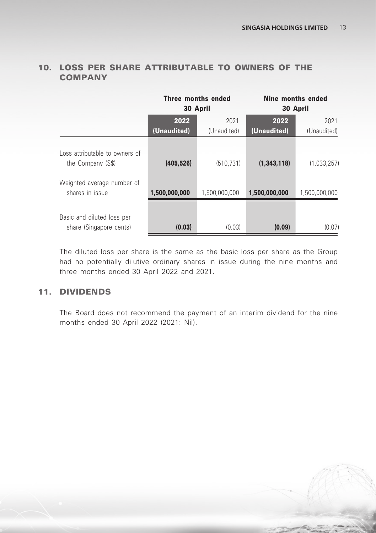|                                                                                   | Three months ended<br>30 April |                     | Nine months ended<br>30 April |                     |
|-----------------------------------------------------------------------------------|--------------------------------|---------------------|-------------------------------|---------------------|
|                                                                                   | 2022<br>(Unaudited)            | 2021<br>(Unaudited) | 2022<br>(Unaudited)           | 2021<br>(Unaudited) |
| Loss attributable to owners of<br>the Company (S\$)<br>Weighted average number of | (405, 526)                     | (510, 731)          | (1, 343, 118)                 | (1,033,257)         |
| shares in issue                                                                   | 1,500,000,000                  | 1,500,000,000       | 1,500,000,000                 | 1,500,000,000       |
| Basic and diluted loss per<br>share (Singapore cents)                             | (0.03)                         | (0.03)              | (0.09)                        | (0.07)              |

## 10. LOSS PER SHARE ATTRIBUTABLE TO OWNERS OF THE COMPANY

The diluted loss per share is the same as the basic loss per share as the Group had no potentially dilutive ordinary shares in issue during the nine months and three months ended 30 April 2022 and 2021.

# 11. DIVIDENDS

The Board does not recommend the payment of an interim dividend for the nine months ended 30 April 2022 (2021: Nil).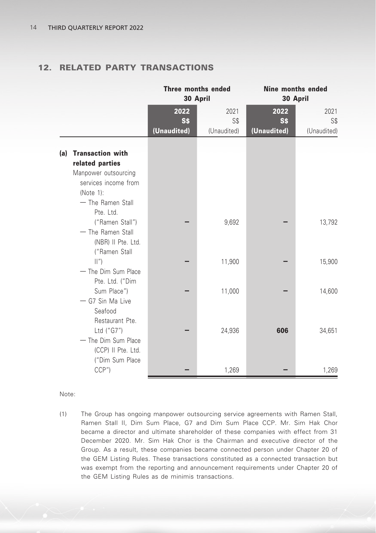# 12. RELATED PARTY TRANSACTIONS

|     |                                                                                                                                 | Three months ended<br>30 April |                            | Nine months ended<br>30 April |                            |
|-----|---------------------------------------------------------------------------------------------------------------------------------|--------------------------------|----------------------------|-------------------------------|----------------------------|
|     |                                                                                                                                 | 2022<br>S\$<br>(Unaudited)     | 2021<br>S\$<br>(Unaudited) | 2022<br>S\$<br>(Unaudited)    | 2021<br>S\$<br>(Unaudited) |
| (a) | <b>Transaction with</b><br>related parties<br>Manpower outsourcing<br>services income from<br>(Note $1$ ):<br>- The Ramen Stall |                                |                            |                               |                            |
|     | Pte. Ltd.<br>("Ramen Stall")<br>- The Ramen Stall<br>(NBR) II Pte. Ltd.                                                         |                                | 9,692                      |                               | 13,792                     |
|     | ("Ramen Stall<br>$\left \left  \right ''\right $<br>- The Dim Sum Place<br>Pte. Ltd. ("Dim                                      |                                | 11,900                     |                               | 15,900                     |
|     | Sum Place")<br>- G7 Sin Ma Live<br>Seafood<br>Restaurant Pte.                                                                   |                                | 11,000                     |                               | 14,600                     |
|     | Ltd ("G7")<br>- The Dim Sum Place<br>(CCP) II Pte. Ltd.<br>("Dim Sum Place                                                      |                                | 24,936                     | 606                           | 34,651                     |
|     | CCP''                                                                                                                           |                                | 1,269                      |                               | 1,269                      |

Note:

(1) The Group has ongoing manpower outsourcing service agreements with Ramen Stall, Ramen Stall II, Dim Sum Place, G7 and Dim Sum Place CCP. Mr. Sim Hak Chor became a director and ultimate shareholder of these companies with effect from 31 December 2020. Mr. Sim Hak Chor is the Chairman and executive director of the Group. As a result, these companies became connected person under Chapter 20 of the GEM Listing Rules. These transactions constituted as a connected transaction but was exempt from the reporting and announcement requirements under Chapter 20 of the GEM Listing Rules as de minimis transactions.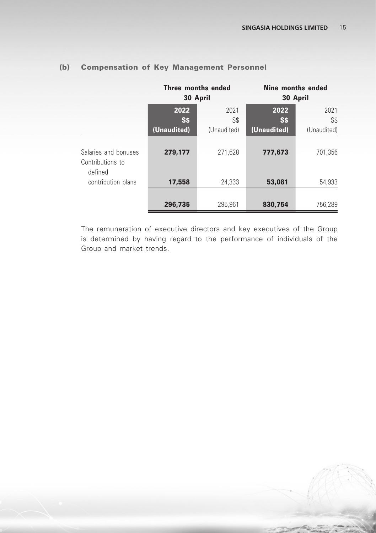|                                                     |                            | Three months ended<br>30 April | 30 April                         | Nine months ended          |
|-----------------------------------------------------|----------------------------|--------------------------------|----------------------------------|----------------------------|
|                                                     | 2022<br>S\$<br>(Unaudited) | 2021<br>S\$<br>(Unaudited)     | 2022<br><b>SS</b><br>(Unaudited) | 2021<br>S\$<br>(Unaudited) |
| Salaries and bonuses<br>Contributions to<br>defined | 279,177                    | 271,628                        | 777,673                          | 701,356                    |
| contribution plans                                  | 17,558                     | 24,333                         | 53,081                           | 54,933                     |
|                                                     | 296,735                    | 295,961                        | 830,754                          | 756,289                    |

## (b) Compensation of Key Management Personnel

The remuneration of executive directors and key executives of the Group is determined by having regard to the performance of individuals of the Group and market trends.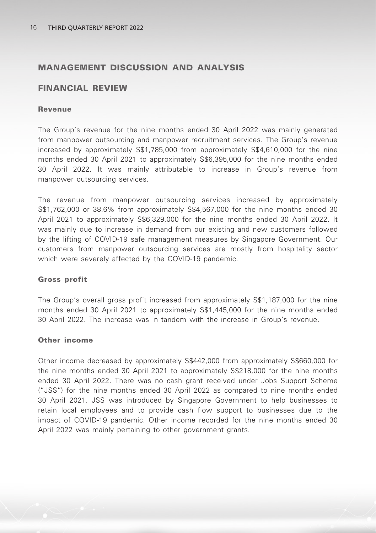## MANAGEMENT DISCUSSION AND ANALYSIS

### FINANCIAL REVIEW

#### Revenue

The Group's revenue for the nine months ended 30 April 2022 was mainly generated from manpower outsourcing and manpower recruitment services. The Group's revenue increased by approximately S\$1,785,000 from approximately S\$4,610,000 for the nine months ended 30 April 2021 to approximately S\$6,395,000 for the nine months ended 30 April 2022. It was mainly attributable to increase in Group's revenue from manpower outsourcing services.

The revenue from manpower outsourcing services increased by approximately S\$1,762,000 or 38.6% from approximately S\$4,567,000 for the nine months ended 30 April 2021 to approximately S\$6,329,000 for the nine months ended 30 April 2022. It was mainly due to increase in demand from our existing and new customers followed by the lifting of COVID-19 safe management measures by Singapore Government. Our customers from manpower outsourcing services are mostly from hospitality sector which were severely affected by the COVID-19 pandemic.

#### Gross profit

The Group's overall gross profit increased from approximately S\$1,187,000 for the nine months ended 30 April 2021 to approximately S\$1,445,000 for the nine months ended 30 April 2022. The increase was in tandem with the increase in Group's revenue.

#### Other income

Other income decreased by approximately S\$442,000 from approximately S\$660,000 for the nine months ended 30 April 2021 to approximately S\$218,000 for the nine months ended 30 April 2022. There was no cash grant received under Jobs Support Scheme ("JSS") for the nine months ended 30 April 2022 as compared to nine months ended 30 April 2021. JSS was introduced by Singapore Government to help businesses to retain local employees and to provide cash flow support to businesses due to the impact of COVID-19 pandemic. Other income recorded for the nine months ended 30 April 2022 was mainly pertaining to other government grants.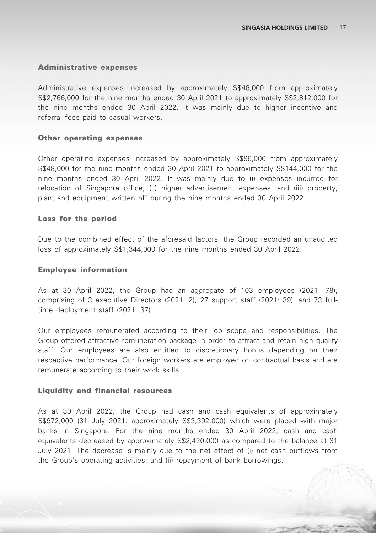#### Administrative expenses

Administrative expenses increased by approximately S\$46,000 from approximately S\$2,766,000 for the nine months ended 30 April 2021 to approximately S\$2,812,000 for the nine months ended 30 April 2022. It was mainly due to higher incentive and referral fees paid to casual workers.

#### Other operating expenses

Other operating expenses increased by approximately S\$96,000 from approximately S\$48,000 for the nine months ended 30 April 2021 to approximately S\$144,000 for the nine months ended 30 April 2022. It was mainly due to (i) expenses incurred for relocation of Singapore office; (ii) higher advertisement expenses; and (iii) property, plant and equipment written off during the nine months ended 30 April 2022.

#### Loss for the period

Due to the combined effect of the aforesaid factors, the Group recorded an unaudited loss of approximately S\$1,344,000 for the nine months ended 30 April 2022.

#### Employee information

As at 30 April 2022, the Group had an aggregate of 103 employees (2021: 78), comprising of 3 executive Directors (2021: 2), 27 support staff (2021: 39), and 73 fulltime deployment staff (2021: 37).

Our employees remunerated according to their job scope and responsibilities. The Group offered attractive remuneration package in order to attract and retain high quality staff. Our employees are also entitled to discretionary bonus depending on their respective performance. Our foreign workers are employed on contractual basis and are remunerate according to their work skills.

#### Liquidity and financial resources

As at 30 April 2022, the Group had cash and cash equivalents of approximately S\$972,000 (31 July 2021: approximately S\$3,392,000) which were placed with major banks in Singapore. For the nine months ended 30 April 2022, cash and cash equivalents decreased by approximately S\$2,420,000 as compared to the balance at 31 July 2021. The decrease is mainly due to the net effect of (i) net cash outflows from the Group's operating activities; and (ii) repayment of bank borrowings.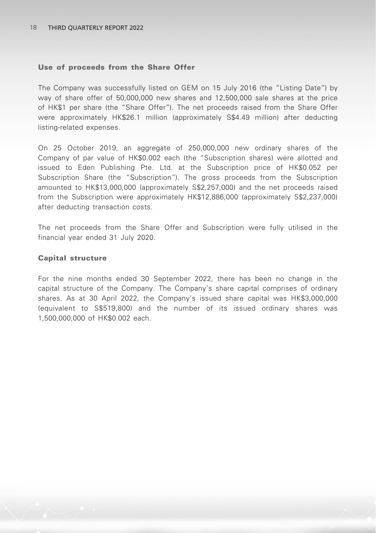#### Use of proceeds from the Share Offer

The Company was successfully listed on GEM on 15 July 2016 (the "Listing Date") by way of share offer of 50,000,000 new shares and 12,500,000 sale shares at the price of HK\$1 per share (the "Share Offer"). The net proceeds raised from the Share Offer were approximately HK\$26.1 million (approximately S\$4.49 million) after deducting listing-related expenses.

On 25 October 2019, an aggregate of 250,000,000 new ordinary shares of the Company of par value of HK\$0.002 each (the "Subscription shares) were allotted and issued to Eden Publishing Pte. Ltd. at the Subscription price of HK\$0.052 per Subscription Share (the "Subscription"). The gross proceeds from the Subscription amounted to HK\$13,000,000 (approximately S\$2,257,000) and the net proceeds raised from the Subscription were approximately HK\$12,886,000 (approximately S\$2,237,000) after deducting transaction costs.

The net proceeds from the Share Offer and Subscription were fully utilised in the financial year ended 31 July 2020.

#### Capital structure

For the nine months ended 30 September 2022, there has been no change in the capital structure of the Company. The Company's share capital comprises of ordinary shares. As at 30 April 2022, the Company's issued share capital was HK\$3,000,000 (equivalent to S\$519,800) and the number of its issued ordinary shares was 1,500,000,000 of HK\$0.002 each.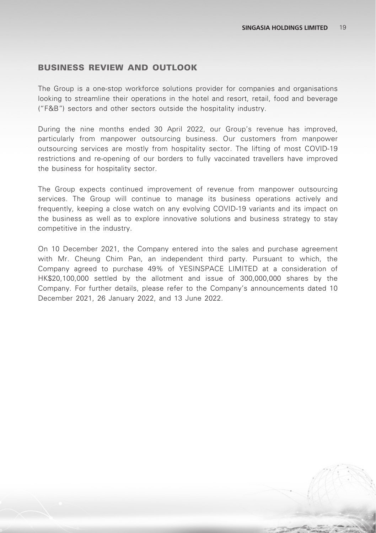### BUSINESS REVIEW AND OUTLOOK

The Group is a one-stop workforce solutions provider for companies and organisations looking to streamline their operations in the hotel and resort, retail, food and beverage ("F&B") sectors and other sectors outside the hospitality industry.

During the nine months ended 30 April 2022, our Group's revenue has improved, particularly from manpower outsourcing business. Our customers from manpower outsourcing services are mostly from hospitality sector. The lifting of most COVID-19 restrictions and re-opening of our borders to fully vaccinated travellers have improved the business for hospitality sector.

The Group expects continued improvement of revenue from manpower outsourcing services. The Group will continue to manage its business operations actively and frequently, keeping a close watch on any evolving COVID-19 variants and its impact on the business as well as to explore innovative solutions and business strategy to stay competitive in the industry.

On 10 December 2021, the Company entered into the sales and purchase agreement with Mr. Cheung Chim Pan, an independent third party. Pursuant to which, the Company agreed to purchase 49% of YESINSPACE LIMITED at a consideration of HK\$20,100,000 settled by the allotment and issue of 300,000,000 shares by the Company. For further details, please refer to the Company's announcements dated 10 December 2021, 26 January 2022, and 13 June 2022.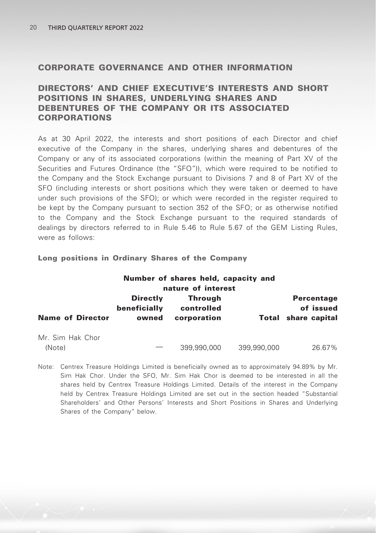### CORPORATE GOVERNANCE AND OTHER INFORMATION

## DIRECTORS' AND CHIEF EXECUTIVE'S INTERESTS AND SHORT POSITIONS IN SHARES, UNDERLYING SHARES AND DEBENTURES OF THE COMPANY OR ITS ASSOCIATED CORPORATIONS

As at 30 April 2022, the interests and short positions of each Director and chief executive of the Company in the shares, underlying shares and debentures of the Company or any of its associated corporations (within the meaning of Part XV of the Securities and Futures Ordinance (the "SFO")), which were required to be notified to the Company and the Stock Exchange pursuant to Divisions 7 and 8 of Part XV of the SFO (including interests or short positions which they were taken or deemed to have under such provisions of the SFO); or which were recorded in the register required to be kept by the Company pursuant to section 352 of the SFO; or as otherwise notified to the Company and the Stock Exchange pursuant to the required standards of dealings by directors referred to in Rule 5.46 to Rule 5.67 of the GEM Listing Rules, were as follows:

#### Long positions in Ordinary Shares of the Company

|                            |                                          | Number of shares held, capacity and<br>nature of interest |             |                                                              |
|----------------------------|------------------------------------------|-----------------------------------------------------------|-------------|--------------------------------------------------------------|
| <b>Name of Director</b>    | <b>Directly</b><br>beneficially<br>owned | <b>Through</b><br>controlled<br>corporation               |             | <b>Percentage</b><br>of issued<br><b>Total share capital</b> |
| Mr. Sim Hak Chor<br>(Note) |                                          | 399,990,000                                               | 399.990.000 | 26.67%                                                       |

Note: Centrex Treasure Holdings Limited is beneficially owned as to approximately 94.89% by Mr. Sim Hak Chor. Under the SFO, Mr. Sim Hak Chor is deemed to be interested in all the shares held by Centrex Treasure Holdings Limited. Details of the interest in the Company held by Centrex Treasure Holdings Limited are set out in the section headed "Substantial Shareholders' and Other Persons' Interests and Short Positions in Shares and Underlying Shares of the Company" below.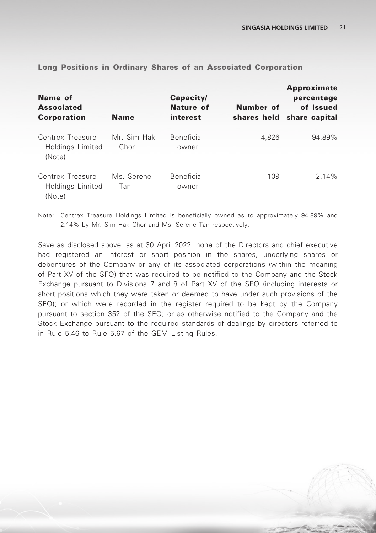| Name of<br><b>Associated</b><br><b>Corporation</b> | <b>Name</b>         | Capacity/<br>Nature of<br>interest | Number of<br>shares held | <b>Approximate</b><br>percentage<br>of issued<br>share capital |
|----------------------------------------------------|---------------------|------------------------------------|--------------------------|----------------------------------------------------------------|
| Centrex Treasure<br>Holdings Limited<br>(Note)     | Mr. Sim Hak<br>Chor | <b>Beneficial</b><br>owner         | 4.826                    | 94.89%                                                         |
| Centrex Treasure<br>Holdings Limited<br>(Note)     | Ms. Serene<br>Tan   | Beneficial<br>owner                | 109                      | 214%                                                           |

Long Positions in Ordinary Shares of an Associated Corporation

Note: Centrex Treasure Holdings Limited is beneficially owned as to approximately 94.89% and 2.14% by Mr. Sim Hak Chor and Ms. Serene Tan respectively.

Save as disclosed above, as at 30 April 2022, none of the Directors and chief executive had registered an interest or short position in the shares, underlying shares or debentures of the Company or any of its associated corporations (within the meaning of Part XV of the SFO) that was required to be notified to the Company and the Stock Exchange pursuant to Divisions 7 and 8 of Part XV of the SFO (including interests or short positions which they were taken or deemed to have under such provisions of the SFO); or which were recorded in the register required to be kept by the Company pursuant to section 352 of the SFO; or as otherwise notified to the Company and the Stock Exchange pursuant to the required standards of dealings by directors referred to in Rule 5.46 to Rule 5.67 of the GEM Listing Rules.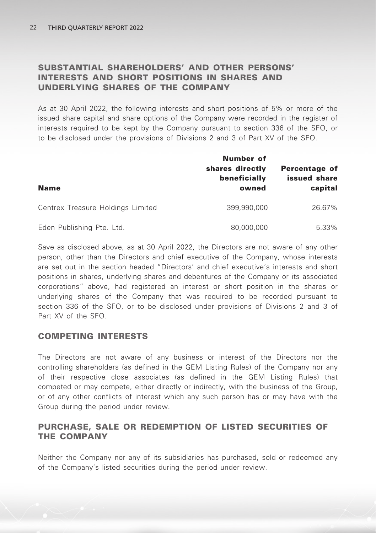## SUBSTANTIAL SHAREHOLDERS' AND OTHER PERSONS' INTERESTS AND SHORT POSITIONS IN SHARES AND UNDERLYING SHARES OF THE COMPANY

As at 30 April 2022, the following interests and short positions of 5% or more of the issued share capital and share options of the Company were recorded in the register of interests required to be kept by the Company pursuant to section 336 of the SFO, or to be disclosed under the provisions of Divisions 2 and 3 of Part XV of the SFO.

| <b>Name</b>                       | Number of<br>shares directly<br>beneficially<br>owned | Percentage of<br>issued share<br>capital |
|-----------------------------------|-------------------------------------------------------|------------------------------------------|
| Centrex Treasure Holdings Limited | 399.990.000                                           | 26.67%                                   |
| Eden Publishing Pte. Ltd.         | 80,000,000                                            | 5.33%                                    |

Save as disclosed above, as at 30 April 2022, the Directors are not aware of any other person, other than the Directors and chief executive of the Company, whose interests are set out in the section headed "Directors' and chief executive's interests and short positions in shares, underlying shares and debentures of the Company or its associated corporations" above, had registered an interest or short position in the shares or underlying shares of the Company that was required to be recorded pursuant to section 336 of the SFO, or to be disclosed under provisions of Divisions 2 and 3 of Part XV of the SFO.

## COMPETING INTERESTS

The Directors are not aware of any business or interest of the Directors nor the controlling shareholders (as defined in the GEM Listing Rules) of the Company nor any of their respective close associates (as defined in the GEM Listing Rules) that competed or may compete, either directly or indirectly, with the business of the Group, or of any other conflicts of interest which any such person has or may have with the Group during the period under review.

## PURCHASE, SALE OR REDEMPTION OF LISTED SECURITIES OF THE COMPANY

Neither the Company nor any of its subsidiaries has purchased, sold or redeemed any of the Company's listed securities during the period under review.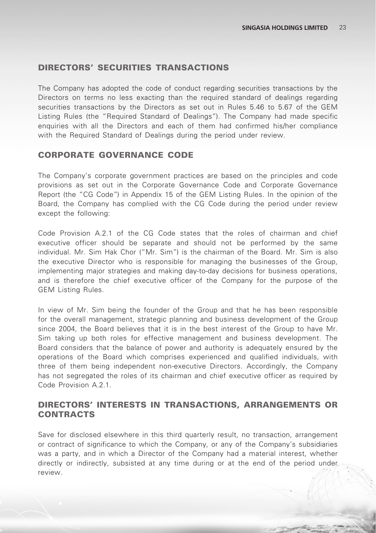### DIRECTORS' SECURITIES TRANSACTIONS

The Company has adopted the code of conduct regarding securities transactions by the Directors on terms no less exacting than the required standard of dealings regarding securities transactions by the Directors as set out in Rules 5.46 to 5.67 of the GEM Listing Rules (the "Required Standard of Dealings"). The Company had made specific enquiries with all the Directors and each of them had confirmed his/her compliance with the Required Standard of Dealings during the period under review.

### CORPORATE GOVERNANCE CODE

The Company's corporate government practices are based on the principles and code provisions as set out in the Corporate Governance Code and Corporate Governance Report (the "CG Code") in Appendix 15 of the GEM Listing Rules. In the opinion of the Board, the Company has complied with the CG Code during the period under review except the following:

Code Provision A.2.1 of the CG Code states that the roles of chairman and chief executive officer should be separate and should not be performed by the same individual. Mr. Sim Hak Chor ("Mr. Sim") is the chairman of the Board. Mr. Sim is also the executive Director who is responsible for managing the businesses of the Group, implementing major strategies and making day-to-day decisions for business operations, and is therefore the chief executive officer of the Company for the purpose of the GEM Listing Rules.

In view of Mr. Sim being the founder of the Group and that he has been responsible for the overall management, strategic planning and business development of the Group since 2004, the Board believes that it is in the best interest of the Group to have Mr. Sim taking up both roles for effective management and business development. The Board considers that the balance of power and authority is adequately ensured by the operations of the Board which comprises experienced and qualified individuals, with three of them being independent non-executive Directors. Accordingly, the Company has not segregated the roles of its chairman and chief executive officer as required by Code Provision A.2.1.

### DIRECTORS' INTERESTS IN TRANSACTIONS, ARRANGEMENTS OR **CONTRACTS**

Save for disclosed elsewhere in this third quarterly result, no transaction, arrangement or contract of significance to which the Company, or any of the Company's subsidiaries was a party, and in which a Director of the Company had a material interest, whether directly or indirectly, subsisted at any time during or at the end of the period under review.